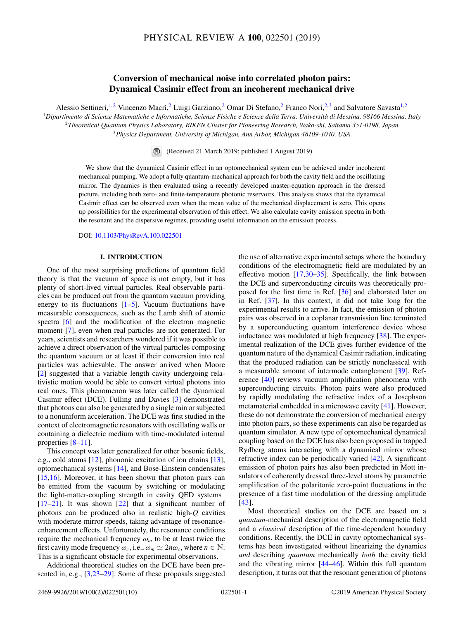# **Conversion of mechanical noise into correlated photon pairs: Dynamical Casimir effect from an incoherent mechanical drive**

Alessio Settineri,<sup>1,2</sup> Vincenzo Macrì,<sup>2</sup> Luigi Garziano,<sup>2</sup> Omar Di Stefano,<sup>2</sup> Franco Nori,<sup>2,3</sup> and Salvatore Savasta<sup>1,2</sup>

<sup>1</sup>*Dipartimento di Scienze Matematiche e Informatiche, Scienze Fisiche e Scienze della Terra, Università di Messina, 98166 Messina, Italy* <sup>2</sup>*Theoretical Quantum Physics Laboratory, RIKEN Cluster for Pioneering Research, Wako-shi, Saitama 351-0198, Japan* <sup>3</sup>*Physics Department, University of Michigan, Ann Arbor, Michigan 48109-1040, USA*

(Received 21 March 2019; published 1 August 2019)

We show that the dynamical Casimir effect in an optomechanical system can be achieved under incoherent mechanical pumping. We adopt a fully quantum-mechanical approach for both the cavity field and the oscillating mirror. The dynamics is then evaluated using a recently developed master-equation approach in the dressed picture, including both zero- and finite-temperature photonic reservoirs. This analysis shows that the dynamical Casimir effect can be observed even when the mean value of the mechanical displacement is zero. This opens up possibilities for the experimental observation of this effect. We also calculate cavity emission spectra in both the resonant and the dispersive regimes, providing useful information on the emission process.

DOI: [10.1103/PhysRevA.100.022501](https://doi.org/10.1103/PhysRevA.100.022501)

## **I. INTRODUCTION**

One of the most surprising predictions of quantum field theory is that the vacuum of space is not empty, but it has plenty of short-lived virtual particles. Real observable particles can be produced out from the quantum vacuum providing energy to its fluctuations  $[1-5]$ . Vacuum fluctuations have measurable consequences, such as the Lamb shift of atomic spectra [\[6\]](#page-7-0) and the modification of the electron magnetic moment [\[7\]](#page-7-0), even when real particles are not generated. For years, scientists and researchers wondered if it was possible to achieve a direct observation of the virtual particles composing the quantum vacuum or at least if their conversion into real particles was achievable. The answer arrived when Moore [\[2\]](#page-7-0) suggested that a variable length cavity undergoing relativistic motion would be able to convert virtual photons into real ones. This phenomenon was later called the dynamical Casimir effect (DCE). Fulling and Davies [\[3\]](#page-7-0) demonstrated that photons can also be generated by a single mirror subjected to a nonuniform acceleration. The DCE was first studied in the context of electromagnetic resonators with oscillating walls or containing a dielectric medium with time-modulated internal properties [\[8–11\]](#page-7-0).

This concept was later generalized for other bosonic fields, e.g., cold atoms [\[12\]](#page-7-0), phononic excitation of ion chains [\[13\]](#page-7-0), optomechanical systems [\[14\]](#page-7-0), and Bose-Einstein condensates [\[15,16\]](#page-7-0). Moreover, it has been shown that photon pairs can be emitted from the vacuum by switching or modulating the light-matter-coupling strength in cavity QED systems  $[17–21]$ . It was shown  $[22]$  that a significant number of photons can be produced also in realistic high-*Q* cavities with moderate mirror speeds, taking advantage of resonanceenhancement effects. Unfortunately, the resonance conditions require the mechanical frequency  $\omega_m$  to be at least twice the first cavity mode frequency  $\omega_c$ , i.e.,  $\omega_m \simeq 2n\omega_c$ , where  $n \in \mathbb{N}$ . This is a significant obstacle for experimental observations.

Additional theoretical studies on the DCE have been presented in, e.g., [\[3,23–](#page-7-0)[29\]](#page-8-0). Some of these proposals suggested the use of alternative experimental setups where the boundary conditions of the electromagnetic field are modulated by an effective motion [\[17,](#page-7-0)[30–35\]](#page-8-0). Specifically, the link between the DCE and superconducting circuits was theoretically proposed for the first time in Ref. [\[36\]](#page-8-0) and elaborated later on in Ref. [\[37\]](#page-8-0). In this context, it did not take long for the experimental results to arrive. In fact, the emission of photon pairs was observed in a coplanar transmission line terminated by a superconducting quantum interference device whose inductance was modulated at high frequency [\[38\]](#page-8-0). The experimental realization of the DCE gives further evidence of the quantum nature of the dynamical Casimir radiation, indicating that the produced radiation can be strictly nonclassical with a measurable amount of intermode entanglement [\[39\]](#page-8-0). Reference [\[40\]](#page-8-0) reviews vacuum amplification phenomena with superconducting circuits. Photon pairs were also produced by rapidly modulating the refractive index of a Josephson metamaterial embedded in a microwave cavity [\[41\]](#page-8-0). However, these do not demonstrate the conversion of mechanical energy into photon pairs, so these experiments can also be regarded as quantum simulator. A new type of optomechanical dynamical coupling based on the DCE has also been proposed in trapped Rydberg atoms interacting with a dynamical mirror whose refractive index can be periodically varied [\[42\]](#page-8-0). A significant emission of photon pairs has also been predicted in Mott insulators of coherently dressed three-level atoms by parametric amplification of the polaritonic zero-point fluctuations in the presence of a fast time modulation of the dressing amplitude [\[43\]](#page-8-0).

Most theoretical studies on the DCE are based on a *quantum*-mechanical description of the electromagnetic field and a *classical* description of the time-dependent boundary conditions. Recently, the DCE in cavity optomechanical systems has been investigated without linearizing the dynamics *and* describing *quantum* mechanically *both* the cavity field and the vibrating mirror [\[44–46\]](#page-8-0). Within this full quantum description, it turns out that the resonant generation of photons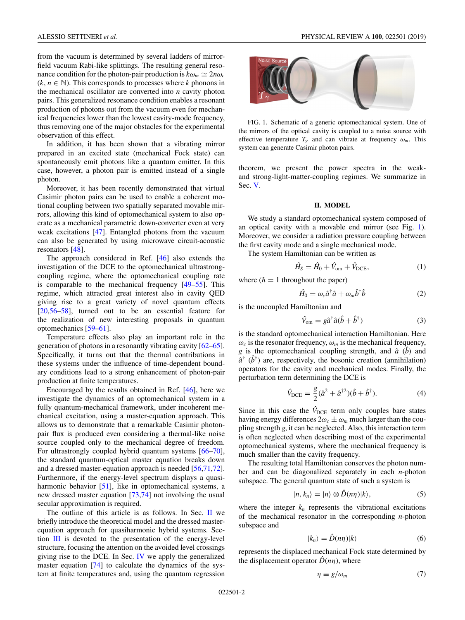<span id="page-1-0"></span>from the vacuum is determined by several ladders of mirrorfield vacuum Rabi-like splittings. The resulting general resonance condition for the photon-pair production is  $k\omega_m \simeq 2n\omega_c$  $(k, n \in \mathbb{N})$ . This corresponds to processes where *k* phonons in the mechanical oscillator are converted into *n* cavity photon pairs. This generalized resonance condition enables a resonant production of photons out from the vacuum even for mechanical frequencies lower than the lowest cavity-mode frequency, thus removing one of the major obstacles for the experimental observation of this effect.

In addition, it has been shown that a vibrating mirror prepared in an excited state (mechanical Fock state) can spontaneously emit photons like a quantum emitter. In this case, however, a photon pair is emitted instead of a single photon.

Moreover, it has been recently demonstrated that virtual Casimir photon pairs can be used to enable a coherent motional coupling between two spatially separated movable mirrors, allowing this kind of optomechanical system to also operate as a mechanical parametric down-converter even at very weak excitations [\[47\]](#page-8-0). Entangled photons from the vacuum can also be generated by using microwave circuit-acoustic resonators [\[48\]](#page-8-0).

The approach considered in Ref. [\[46\]](#page-8-0) also extends the investigation of the DCE to the optomechanical ultrastrongcoupling regime, where the optomechanical coupling rate is comparable to the mechanical frequency [\[49–55\]](#page-8-0). This regime, which attracted great interest also in cavity QED giving rise to a great variety of novel quantum effects [\[20,](#page-7-0)[56–58\]](#page-8-0), turned out to be an essential feature for the realization of new interesting proposals in quantum optomechanics [\[59–61\]](#page-8-0).

Temperature effects also play an important role in the generation of photons in a resonantly vibrating cavity [\[62](#page-8-0)[–65\]](#page-9-0). Specifically, it turns out that the thermal contributions in these systems under the influence of time-dependent boundary conditions lead to a strong enhancement of photon-pair production at finite temperatures.

Encouraged by the results obtained in Ref. [\[46\]](#page-8-0), here we investigate the dynamics of an optomechanical system in a fully quantum-mechanical framework, under incoherent mechanical excitation, using a master-equation approach. This allows us to demonstrate that a remarkable Casimir photonpair flux is produced even considering a thermal-like noise source coupled only to the mechanical degree of freedom. For ultrastrongly coupled hybrid quantum systems [\[66–70\]](#page-9-0), the standard quantum-optical master equation breaks down and a dressed master-equation approach is needed [\[56](#page-8-0)[,71,72\]](#page-9-0). Furthermore, if the energy-level spectrum displays a quasi-harmonic behavior [\[51\]](#page-8-0), like in optomechanical systems, a new dressed master equation [\[73,74\]](#page-9-0) not involving the usual secular approximation is required.

The outline of this article is as follows. In Sec.  $II$  we briefly introduce the theoretical model and the dressed masterequation approach for quasiharmonic hybrid systems. Section [III](#page-2-0) is devoted to the presentation of the energy-level structure, focusing the attention on the avoided level crossings giving rise to the DCE. In Sec. [IV](#page-3-0) we apply the generalized master equation [\[74\]](#page-9-0) to calculate the dynamics of the system at finite temperatures and, using the quantum regression



FIG. 1. Schematic of a generic optomechanical system. One of the mirrors of the optical cavity is coupled to a noise source with effective temperature  $T_{\gamma}$  and can vibrate at frequency  $\omega_m$ . This system can generate Casimir photon pairs.

theorem, we present the power spectra in the weakand strong-light-matter-coupling regimes. We summarize in Sec. [V.](#page-6-0)

## **II. MODEL**

We study a standard optomechanical system composed of an optical cavity with a movable end mirror (see Fig. 1). Moreover, we consider a radiation pressure coupling between the first cavity mode and a single mechanical mode.

The system Hamiltonian can be written as

$$
\hat{H}_{\rm S} = \hat{H}_0 + \hat{V}_{\rm om} + \hat{V}_{\rm DCE},\tag{1}
$$

where  $(h = 1$  throughout the paper)

$$
\hat{H}_0 = \omega_c \hat{a}^\dagger \hat{a} + \omega_m \hat{b}^\dagger \hat{b} \tag{2}
$$

is the uncoupled Hamiltonian and

$$
\hat{V}_{\text{om}} = g\hat{a}^{\dagger}\hat{a}(\hat{b} + \hat{b}^{\dagger})
$$
\n(3)

is the standard optomechanical interaction Hamiltonian. Here  $\omega_c$  is the resonator frequency,  $\omega_m$  is the mechanical frequency, *g* is the optomechanical coupling strength, and  $\hat{a}$  ( $\hat{b}$ ) and  $\hat{a}^{\dagger}$  ( $\hat{b}^{\dagger}$ ) are, respectively, the bosonic creation (annihilation) operators for the cavity and mechanical modes. Finally, the perturbation term determining the DCE is

$$
\hat{V}_{DCE} = \frac{g}{2} (\hat{a}^2 + \hat{a}^{\dagger 2}) (\hat{b} + \hat{b}^{\dagger}).
$$
\n(4)

Since in this case the  $\hat{V}_{\text{DCE}}$  term only couples bare states having energy differences  $2\omega_c \pm \omega_m$  much larger than the coupling strength *g*, it can be neglected. Also, this interaction term is often neglected when describing most of the experimental optomechanical systems, where the mechanical frequency is much smaller than the cavity frequency.

The resulting total Hamiltonian conserves the photon number and can be diagonalized separately in each *n*-photon subspace. The general quantum state of such a system is

$$
|n, k_n\rangle = |n\rangle \otimes \hat{D}(n\eta)|k\rangle, \qquad (5)
$$

where the integer  $k_n$  represents the vibrational excitations of the mechanical resonator in the corresponding *n*-photon subspace and

$$
|k_n\rangle = \hat{D}(n\eta)|k\rangle \tag{6}
$$

represents the displaced mechanical Fock state determined by the displacement operator  $\tilde{D}(n\eta)$ , where

$$
\eta \equiv g/\omega_m \tag{7}
$$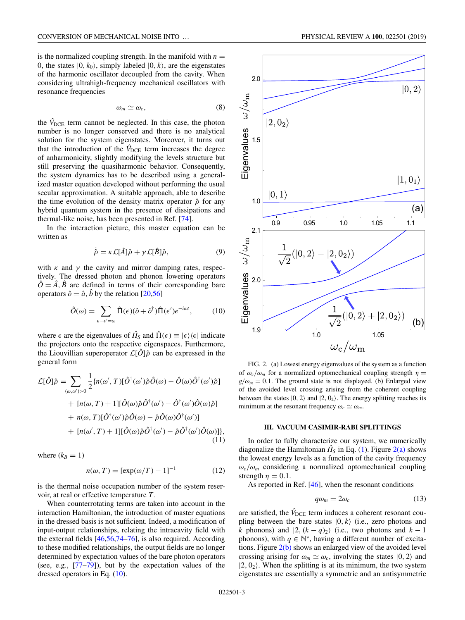<span id="page-2-0"></span>is the normalized coupling strength. In the manifold with  $n =$ 0, the states  $|0, k_0\rangle$ , simply labeled  $|0, k\rangle$ , are the eigenstates of the harmonic oscillator decoupled from the cavity. When considering ultrahigh-frequency mechanical oscillators with resonance frequencies

$$
\omega_m \simeq \omega_c, \tag{8}
$$

the  $\hat{V}_{\text{DCE}}$  term cannot be neglected. In this case, the photon number is no longer conserved and there is no analytical solution for the system eigenstates. Moreover, it turns out that the introduction of the  $\hat{V}_{\text{DCE}}$  term increases the degree of anharmonicity, slightly modifying the levels structure but still preserving the quasiharmonic behavior. Consequently, the system dynamics has to be described using a generalized master equation developed without performing the usual secular approximation. A suitable approach, able to describe the time evolution of the density matrix operator  $\hat{\rho}$  for any hybrid quantum system in the presence of dissipations and thermal-like noise, has been presented in Ref. [\[74\]](#page-9-0).

In the interaction picture, this master equation can be written as

$$
\dot{\hat{\rho}} = \kappa \mathcal{L}[\hat{A}]\hat{\rho} + \gamma \mathcal{L}[\hat{B}]\hat{\rho},\tag{9}
$$

with  $\kappa$  and  $\gamma$  the cavity and mirror damping rates, respectively. The dressed photon and phonon lowering operators  $\hat{O} = \hat{A}$ ,  $\hat{B}$  are defined in terms of their corresponding bare operators  $\hat{o} = \hat{a}$ ,  $\hat{b}$  by the relation [\[20,](#page-7-0)[56\]](#page-8-0)

$$
\hat{O}(\omega) = \sum_{\epsilon - \epsilon' = \omega} \hat{\Pi}(\epsilon)(\hat{o} + \hat{o}^{\dagger})\hat{\Pi}(\epsilon')e^{-i\omega t}, \tag{10}
$$

where  $\epsilon$  are the eigenvalues of  $\hat{H}_S$  and  $\hat{\Pi}(\epsilon) \equiv |\epsilon\rangle\langle\epsilon|$  indicate the projectors onto the respective eigenspaces. Furthermore, the Liouvillian superoperator  $\mathcal{L}[\hat{O}]\hat{\rho}$  can be expressed in the general form

$$
\mathcal{L}[\hat{O}]\hat{\rho} = \sum_{(\omega,\omega')>0} \frac{1}{2} \{n(\omega',T)[\hat{O}^{\dagger}(\omega')\hat{\rho}\hat{O}(\omega) - \hat{O}(\omega)\hat{O}^{\dagger}(\omega')\hat{\rho}] \n+ [n(\omega,T) + 1][\hat{O}(\omega)\hat{\rho}\hat{O}^{\dagger}(\omega') - \hat{O}^{\dagger}(\omega')\hat{O}(\omega)\hat{\rho}] \n+ n(\omega,T)[\hat{O}^{\dagger}(\omega')\hat{\rho}\hat{O}(\omega) - \hat{\rho}\hat{O}(\omega)\hat{O}^{\dagger}(\omega')] \n+ [n(\omega',T) + 1][\hat{O}(\omega)\hat{\rho}\hat{O}^{\dagger}(\omega') - \hat{\rho}\hat{O}^{\dagger}(\omega')\hat{O}(\omega)]\},
$$
\n(11)

where  $(k_B = 1)$ 

$$
n(\omega, T) = \left[\exp(\omega/T) - 1\right]^{-1} \tag{12}
$$

is the thermal noise occupation number of the system reservoir, at real or effective temperature *T* .

When counterrotating terms are taken into account in the interaction Hamiltonian, the introduction of master equations in the dressed basis is not sufficient. Indeed, a modification of input-output relationships, relating the intracavity field with the external fields [\[46,56,](#page-8-0)[74–76\]](#page-9-0), is also required. According to these modified relationships, the output fields are no longer determined by expectation values of the bare photon operators (see, e.g., [\[77–79\]](#page-9-0)), but by the expectation values of the dressed operators in Eq. (10).



FIG. 2. (a) Lowest energy eigenvalues of the system as a function of  $\omega_c/\omega_m$  for a normalized optomechanical coupling strength  $\eta =$  $g/\omega_m = 0.1$ . The ground state is not displayed. (b) Enlarged view of the avoided level crossing arising from the coherent coupling between the states  $|0, 2\rangle$  and  $|2, 0_2\rangle$ . The energy splitting reaches its minimum at the resonant frequency  $\omega_c \simeq \omega_m$ .

## **III. VACUUM CASIMIR-RABI SPLITTINGS**

In order to fully characterize our system, we numerically diagonalize the Hamiltonian  $\hat{H}_S$  in Eq. [\(1\)](#page-1-0). Figure 2(a) shows the lowest energy levels as a function of the cavity frequency  $\omega_c/\omega_m$  considering a normalized optomechanical coupling strength  $\eta = 0.1$ .

As reported in Ref. [\[46\]](#page-8-0), when the resonant conditions

$$
q\omega_m = 2\omega_c \tag{13}
$$

are satisfied, the  $\hat{V}_{\text{DCE}}$  term induces a coherent resonant coupling between the bare states  $|0, k\rangle$  (i.e., zero photons and *k* phonons) and  $|2, (k - q)_2\rangle$  (i.e., two photons and  $k - 1$ phonons), with  $q \in \mathbb{N}^*$ , having a different number of excitations. Figure  $2(b)$  shows an enlarged view of the avoided level crossing arising for  $\omega_m \simeq \omega_c$ , involving the states  $|0, 2\rangle$  and  $|2, 0_2\rangle$ . When the splitting is at its minimum, the two system eigenstates are essentially a symmetric and an antisymmetric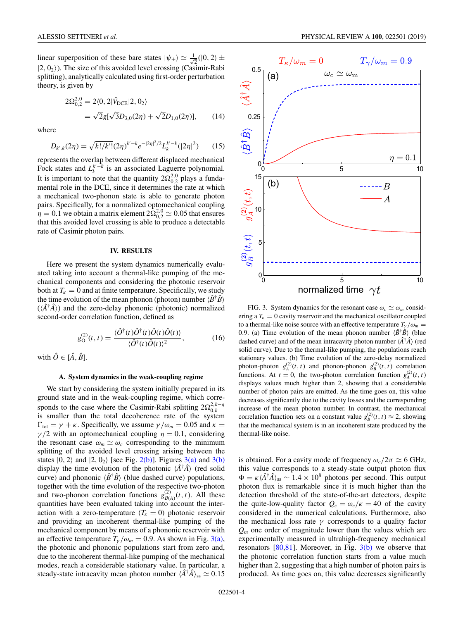<span id="page-3-0"></span>linear superposition of these bare states  $|\psi_{\pm}\rangle \simeq \frac{1}{\sqrt{2}}(|0,2\rangle \pm \frac{1}{2}|0\rangle$  $|2, 0_2\rangle$ ). The size of this avoided level crossing (Casimir-Rabi splitting), analytically calculated using first-order perturbation theory, is given by

$$
2\Omega_{0,2}^{2,0} = 2\langle 0, 2|\hat{V}_{DCE}|2, 0_2\rangle
$$
  
=  $\sqrt{2}g[\sqrt{3}D_{3,0}(2\eta) + \sqrt{2}D_{1,0}(2\eta)],$  (14)

where

$$
D_{k',k}(2\eta) = \sqrt{k!/k'!} (2\eta)^{k'-k} e^{-|2\eta|^2/2} L_k^{k'-k} (|2\eta|^2)
$$
 (15)

represents the overlap between different displaced mechanical Fock states and  $L_k^{k'-k}$  is an associated Laguerre polynomial. It is important to note that the quantity  $2\Omega_{0,2}^{2,0}$  plays a fundamental role in the DCE, since it determines the rate at which a mechanical two-phonon state is able to generate photon pairs. Specifically, for a normalized optomechanical coupling  $n_1 = 0.1$  we obtain a matrix element  $2\Omega_{0,2}^{2,0} \simeq 0.05$  that ensures that this avoided level crossing is able to produce a detectable rate of Casimir photon pairs.

## **IV. RESULTS**

Here we present the system dynamics numerically evaluated taking into account a thermal-like pumping of the mechanical components and considering the photonic reservoir both at  $T_k = 0$  and at finite temperature. Specifically, we study the time evolution of the mean phonon (photon) number  $\langle \hat{B}^{\dagger} \hat{B} \rangle$  $(\langle \hat{A}^{\dagger} \hat{A} \rangle)$  and the zero-delay phononic (photonic) normalized second-order correlation function, defined as

$$
g_{\mathcal{O}}^{(2)}(t,t) = \frac{\langle \hat{\mathcal{O}}^{\dagger}(t)\hat{\mathcal{O}}^{\dagger}(t)\hat{\mathcal{O}}(t)\hat{\mathcal{O}}(t)\rangle}{\langle \hat{\mathcal{O}}^{\dagger}(t)\hat{\mathcal{O}}(t)\rangle^{2}},\tag{16}
$$

with  $\hat{O} \in [\hat{A}, \hat{B}]$ .

### **A. System dynamics in the weak-coupling regime**

We start by considering the system initially prepared in its ground state and in the weak-coupling regime, which corresponds to the case where the Casimir-Rabi splitting  $2\Omega_0^{2,k-q}$ 0,*k* is smaller than the total decoherence rate of the system  $\Gamma_{\text{tot}} = \gamma + \kappa$ . Specifically, we assume  $\gamma / \omega_m = 0.05$  and  $\kappa =$  $\gamma/2$  with an optomechanical coupling  $\eta = 0.1$ , considering the resonant case  $\omega_m \simeq \omega_c$  corresponding to the minimum splitting of the avoided level crossing arising between the states  $|0, 2\rangle$  and  $|2, 0_2\rangle$  [see Fig. [2\(b\)\]](#page-2-0). Figures 3(a) and 3(b) display the time evolution of the photonic  $\langle \hat{A}^{\dagger} \hat{A} \rangle$  (red solid curve) and phononic  $\langle \hat{B}^{\dagger} \hat{B} \rangle$  (blue dashed curve) populations, together with the time evolution of the respective two-photon and two-phonon correlation functions  $g_{B(A)}^{(2)}(t, t)$ . All these quantities have been evaluated taking into account the interaction with a zero-temperature  $(T<sub>K</sub> = 0)$  photonic reservoir and providing an incoherent thermal-like pumping of the mechanical component by means of a phononic reservoir with an effective temperature  $T_v/\omega_m = 0.9$ . As shown in Fig. 3(a), the photonic and phononic populations start from zero and, due to the incoherent thermal-like pumping of the mechanical modes, reach a considerable stationary value. In particular, a steady-state intracavity mean photon number  $\langle \hat{A}^\dagger \hat{A} \rangle_{ss} \simeq 0.15$ 



FIG. 3. System dynamics for the resonant case  $\omega_c \simeq \omega_m$  considering a  $T_k = 0$  cavity reservoir and the mechanical oscillator coupled to a thermal-like noise source with an effective temperature  $T_v / \omega_m$  = 0.9. (a) Time evolution of the mean phonon number  $\langle \hat{B}^{\dagger} \hat{B} \rangle$  (blue dashed curve) and of the mean intracavity photon number  $\langle \hat{A}^{\dagger} \hat{A} \rangle$  (red solid curve). Due to the thermal-like pumping, the populations reach stationary values. (b) Time evolution of the zero-delay normalized photon-photon  $g_A^{(2)}(t, t)$  and phonon-phonon  $g_B^{(2)}(t, t)$  correlation functions. At  $t = 0$ , the two-photon correlation function  $g_A^{(2)}(t, t)$ displays values much higher than 2, showing that a considerable number of photon pairs are emitted. As the time goes on, this value decreases significantly due to the cavity losses and the corresponding increase of the mean photon number. In contrast, the mechanical correlation function sets on a constant value  $g_B^{(2)}(t, t) \approx 2$ , showing that the mechanical system is in an incoherent state produced by the thermal-like noise.

is obtained. For a cavity mode of frequency  $\omega_c/2\pi \simeq 6$  GHz, this value corresponds to a steady-state output photon flux  $\Phi = \kappa \langle \hat{A}^{\dagger} \hat{A} \rangle_{\rm ss} \sim 1.4 \times 10^8$  photons per second. This output photon flux is remarkable since it is much higher than the detection threshold of the state-of-the-art detectors, despite the quite-low-quality factor  $Q_c = \omega_c/\kappa = 40$  of the cavity considered in the numerical calculations. Furthermore, also the mechanical loss rate  $\gamma$  corresponds to a quality factor *Qm* one order of magnitude lower than the values which are experimentally measured in ultrahigh-frequency mechanical resonators  $[80,81]$ . Moreover, in Fig.  $3(b)$  we observe that the photonic correlation function starts from a value much higher than 2, suggesting that a high number of photon pairs is produced. As time goes on, this value decreases significantly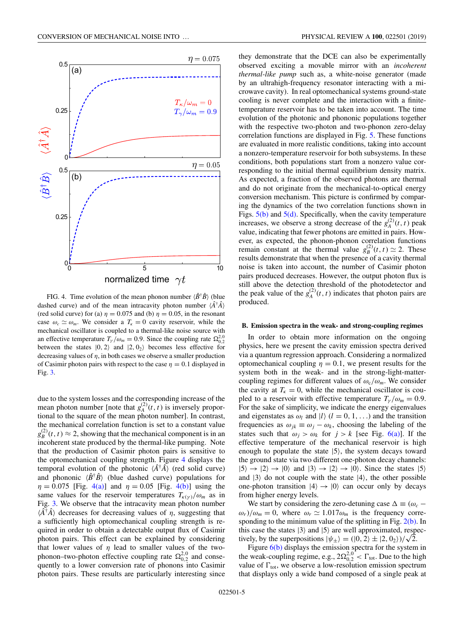<span id="page-4-0"></span>

FIG. 4. Time evolution of the mean phonon number  $\langle \hat{B}^{\dagger} \hat{B} \rangle$  (blue dashed curve) and of the mean intracavity photon number  $\langle \hat{A}^{\dagger} \hat{A} \rangle$ (red solid curve) for (a)  $\eta = 0.075$  and (b)  $\eta = 0.05$ , in the resonant case  $\omega_c \simeq \omega_m$ . We consider a  $T_k = 0$  cavity reservoir, while the mechanical oscillator is coupled to a thermal-like noise source with an effective temperature  $T_{\gamma}/\omega_m = 0.9$ . Since the coupling rate  $\Omega_{0,2}^{2,0}$ between the states  $|0, 2\rangle$  and  $|2, 0_2\rangle$  becomes less effective for decreasing values of  $\eta$ , in both cases we observe a smaller production of Casimir photon pairs with respect to the case  $\eta = 0.1$  displayed in Fig. [3.](#page-3-0)

due to the system losses and the corresponding increase of the mean photon number [note that  $g_A^{(2)}(t, t)$  is inversely proportional to the square of the mean photon number]. In contrast, the mechanical correlation function is set to a constant value  $g_B^{(2)}(t, t) \approx 2$ , showing that the mechanical component is in an incoherent state produced by the thermal-like pumping. Note that the production of Casimir photon pairs is sensitive to the optomechanical coupling strength. Figure 4 displays the temporal evolution of the photonic  $\langle \hat{A}^{\dagger} \hat{A} \rangle$  (red solid curve) and phononic  $\langle \hat{B}^{\dagger} \hat{B} \rangle$  (blue dashed curve) populations for  $\eta = 0.075$  [Fig. 4(a)] and  $\eta = 0.05$  [Fig. 4(b)] using the same values for the reservoir temperatures  $T_{\kappa(\gamma)}/\omega_m$  as in Fig. [3.](#page-3-0) We observe that the intracavity mean photon number  $\langle \hat{A}^{\dagger} \hat{A} \rangle$  decreases for decreasing values of  $\eta$ , suggesting that a sufficiently high optomechanical coupling strength is required in order to obtain a detectable output flux of Casimir photon pairs. This effect can be explained by considering that lower values of  $\eta$  lead to smaller values of the twophonon–two-photon effective coupling rate  $\Omega_{0,2}^{2,0}$  and consequently to a lower conversion rate of phonons into Casimir photon pairs. These results are particularly interesting since

they demonstrate that the DCE can also be experimentally observed exciting a movable mirror with an *incoherent thermal-like pump* such as, a white-noise generator (made by an ultrahigh-frequency resonator interacting with a microwave cavity). In real optomechanical systems ground-state cooling is never complete and the interaction with a finitetemperature reservoir has to be taken into account. The time evolution of the photonic and phononic populations together with the respective two-photon and two-phonon zero-delay correlation functions are displayed in Fig. [5.](#page-5-0) These functions are evaluated in more realistic conditions, taking into account a nonzero-temperature reservoir for both subsystems. In these conditions, both populations start from a nonzero value corresponding to the initial thermal equilibrium density matrix. As expected, a fraction of the observed photons are thermal and do not originate from the mechanical-to-optical energy conversion mechanism. This picture is confirmed by comparing the dynamics of the two correlation functions shown in Figs.  $5(b)$  and  $5(d)$ . Specifically, when the cavity temperature increases, we observe a strong decrease of the  $g_A^{(2)}(t, t)$  peak value, indicating that fewer photons are emitted in pairs. However, as expected, the phonon-phonon correlation functions remain constant at the thermal value  $g_B^{(2)}(t, t) \simeq 2$ . These results demonstrate that when the presence of a cavity thermal noise is taken into account, the number of Casimir photon pairs produced decreases. However, the output photon flux is still above the detection threshold of the photodetector and the peak value of the  $g_A^{(2)}(t, t)$  indicates that photon pairs are produced.

## **B. Emission spectra in the weak- and strong-coupling regimes**

In order to obtain more information on the ongoing physics, here we present the cavity emission spectra derived via a quantum regression approach. Considering a normalized optomechanical coupling  $\eta = 0.1$ , we present results for the system both in the weak- and in the strong-light-mattercoupling regimes for different values of  $\omega_c/\omega_m$ . We consider the cavity at  $T_k = 0$ , while the mechanical oscillator is coupled to a reservoir with effective temperature  $T_{\gamma}/\omega_m = 0.9$ . For the sake of simplicity, we indicate the energy eigenvalues and eigenstates as  $\omega_l$  and  $|l\rangle$  ( $l = 0, 1, \ldots$ ) and the transition frequencies as  $\omega_{jk} \equiv \omega_j - \omega_k$ , choosing the labeling of the states such that  $\omega_j > \omega_k$  for  $j > k$  [see Fig. [6\(a\)\]](#page-6-0). If the effective temperature of the mechanical reservoir is high enough to populate the state  $|5\rangle$ , the system decays toward the ground state via two different one-photon decay channels:  $|5\rangle \rightarrow |2\rangle \rightarrow |0\rangle$  and  $|3\rangle \rightarrow |2\rangle \rightarrow |0\rangle$ . Since the states  $|5\rangle$ and  $|3\rangle$  do not couple with the state  $|4\rangle$ , the other possible one-photon transition  $|4\rangle \rightarrow |0\rangle$  can occur only by decays from higher energy levels.

We start by considering the zero-detuning case  $\Delta \equiv (\omega_c \omega_r$ / $\omega_m$  = 0, where  $\omega_r \simeq 1.017 \omega_m$  is the frequency corresponding to the minimum value of the splitting in Fig.  $2(b)$ . In this case the states  $|3\rangle$  and  $|5\rangle$  are well approximated, respecthis case the states  $|3\rangle$  and  $|5\rangle$  are well approximated, resp<br>tively, by the superpositions  $|\psi_{\pm}\rangle = (|0, 2\rangle \pm |2, 0_2\rangle)/\sqrt{2}$ .

Figure [6\(b\)](#page-6-0) displays the emission spectra for the system in the weak-coupling regime, e.g.,  $2\Omega_{0,2}^{2,0} < \Gamma_{\text{tot}}$ . Due to the high value of  $\Gamma_{\text{tot}}$ , we observe a low-resolution emission spectrum that displays only a wide band composed of a single peak at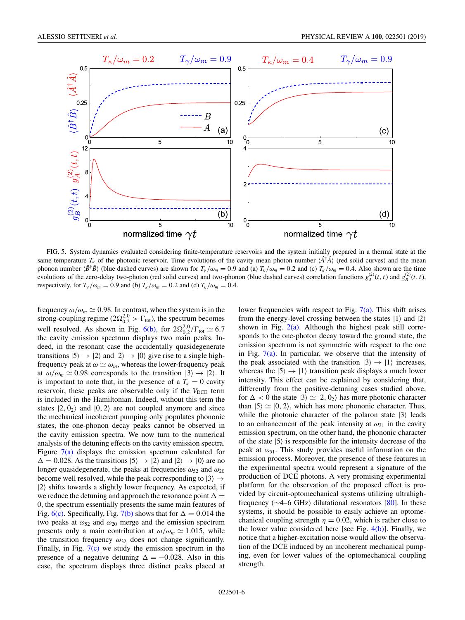<span id="page-5-0"></span>

FIG. 5. System dynamics evaluated considering finite-temperature reservoirs and the system initially prepared in a thermal state at the same temperature  $T_k$  of the photonic reservoir. Time evolutions of the cavity mean photon number  $\langle \hat{A}^{\dagger} \hat{A} \rangle$  (red solid curves) and the mean phonon number  $\langle \hat{B}^{\dagger} \hat{B} \rangle$  (blue dashed curves) are shown for  $T_{\gamma}/\omega_m = 0.9$  and (a)  $T_{\kappa}/\omega_m = 0.2$  and (c)  $T_{\kappa}/\omega_m = 0.4$ . Also shown are the time evolutions of the zero-delay two-photon (red solid curves) and two-phonon (blue dashed curves) correlation functions  $g_A^{(2)}(t, t)$  and  $g_B^{(2)}(t, t)$ , respectively, for  $T_{\gamma}/\omega_m = 0.9$  and (b)  $T_{\kappa}/\omega_m = 0.2$  and (d)  $T_{\kappa}/\omega_m = 0.4$ .

frequency  $\omega/\omega_m \simeq 0.98$ . In contrast, when the system is in the strong-coupling regime ( $2\Omega_{0,2}^{2,0} > \Gamma_{\text{tot}}$ ), the spectrum becomes well resolved. As shown in Fig. [6\(b\),](#page-6-0) for  $2\Omega_{0,2}^{2,0}/\Gamma_{\text{tot}} \simeq 6.7$ the cavity emission spectrum displays two main peaks. Indeed, in the resonant case the accidentally quasidegenerate transitions  $|5\rangle \rightarrow |2\rangle$  and  $|2\rangle \rightarrow |0\rangle$  give rise to a single highfrequency peak at  $\omega \simeq \omega_m$ , whereas the lower-frequency peak at  $\omega/\omega_m \simeq 0.98$  corresponds to the transition  $|3\rangle \rightarrow |2\rangle$ . It is important to note that, in the presence of a  $T_k = 0$  cavity reservoir, these peaks are observable only if the  $V_{DCE}$  term is included in the Hamiltonian. Indeed, without this term the states  $|2, 0_2\rangle$  and  $|0, 2\rangle$  are not coupled anymore and since the mechanical incoherent pumping only populates phononic states, the one-phonon decay peaks cannot be observed in the cavity emission spectra. We now turn to the numerical analysis of the detuning effects on the cavity emission spectra. Figure  $7(a)$  displays the emission spectrum calculated for  $\Delta = 0.028$ . As the transitions  $|5\rangle \rightarrow |2\rangle$  and  $|2\rangle \rightarrow |0\rangle$  are no longer quasidegenerate, the peaks at frequencies  $\omega_{52}$  and  $\omega_{20}$ become well resolved, while the peak corresponding to  $|3\rangle \rightarrow$  $|2\rangle$  shifts towards a slightly lower frequency. As expected, if we reduce the detuning and approach the resonance point  $\Delta =$ 0, the spectrum essentially presents the same main features of Fig. [6\(c\).](#page-6-0) Specifically, Fig. [7\(b\)](#page-6-0) shows that for  $\Delta = 0.014$  the two peaks at  $\omega_{52}$  and  $\omega_{20}$  merge and the emission spectrum presents only a main contribution at  $\omega/\omega_m \simeq 1.015$ , while the transition frequency  $\omega_{32}$  does not change significantly. Finally, in Fig.  $7(c)$  we study the emission spectrum in the presence of a negative detuning  $\Delta = -0.028$ . Also in this case, the spectrum displays three distinct peaks placed at

lower frequencies with respect to Fig.  $7(a)$ . This shift arises from the energy-level crossing between the states  $|1\rangle$  and  $|2\rangle$ shown in Fig.  $2(a)$ . Although the highest peak still corresponds to the one-photon decay toward the ground state, the emission spectrum is not symmetric with respect to the one in Fig.  $7(a)$ . In particular, we observe that the intensity of the peak associated with the transition  $|3\rangle \rightarrow |1\rangle$  increases, whereas the  $|5\rangle \rightarrow |1\rangle$  transition peak displays a much lower intensity. This effect can be explained by considering that, differently from the positive-detuning cases studied above, for  $\Delta < 0$  the state  $|3\rangle \simeq |2, 0_2\rangle$  has more photonic character than  $|5\rangle \simeq |0, 2\rangle$ , which has more phononic character. Thus, while the photonic character of the polaron state  $|3\rangle$  leads to an enhancement of the peak intensity at  $\omega_{31}$  in the cavity emission spectrum, on the other hand, the phononic character of the state  $|5\rangle$  is responsible for the intensity decrease of the peak at  $\omega_{51}$ . This study provides useful information on the emission process. Moreover, the presence of these features in the experimental spectra would represent a signature of the production of DCE photons. A very promising experimental platform for the observation of the proposed effect is provided by circuit-optomechanical systems utilizing ultrahighfrequency (∼4–6 GHz) dilatational resonators [\[80\]](#page-9-0). In these systems, it should be possible to easily achieve an optomechanical coupling strength  $\eta = 0.02$ , which is rather close to the lower value considered here [see Fig.  $4(b)$ ]. Finally, we notice that a higher-excitation noise would allow the observation of the DCE induced by an incoherent mechanical pumping, even for lower values of the optomechanical coupling strength.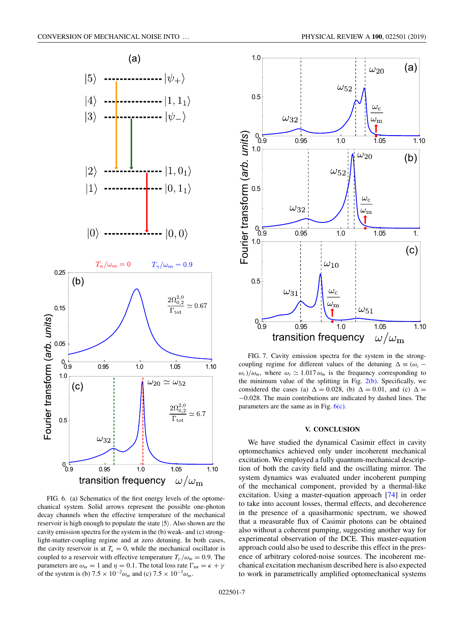<span id="page-6-0"></span>

FIG. 6. (a) Schematics of the first energy levels of the optomechanical system. Solid arrows represent the possible one-photon decay channels when the effective temperature of the mechanical reservoir is high enough to populate the state  $|5\rangle$ . Also shown are the cavity emission spectra for the system in the (b) weak- and (c) stronglight-matter-coupling regime and at zero detuning. In both cases, the cavity reservoir is at  $T_k = 0$ , while the mechanical oscillator is coupled to a reservoir with effective temperature  $T_{\gamma}/\omega_m = 0.9$ . The parameters are  $\omega_m = 1$  and  $\eta = 0.1$ . The total loss rate  $\Gamma_{\text{tot}} = \kappa + \gamma$ of the system is (b)  $7.5 \times 10^{-2} \omega_m$  and (c)  $7.5 \times 10^{-3} \omega_m$ .



FIG. 7. Cavity emission spectra for the system in the strongcoupling regime for different values of the detuning  $\Delta \equiv (\omega_c \omega_r$ / $\omega_m$ , where  $\omega_r \simeq 1.017 \omega_m$  is the frequency corresponding to the minimum value of the splitting in Fig.  $2(b)$ . Specifically, we considered the cases (a)  $\Delta = 0.028$ , (b)  $\Delta = 0.01$ , and (c)  $\Delta =$ −0.028. The main contributions are indicated by dashed lines. The parameters are the same as in Fig.  $6(c)$ .

#### **V. CONCLUSION**

We have studied the dynamical Casimir effect in cavity optomechanics achieved only under incoherent mechanical excitation. We employed a fully quantum-mechanical description of both the cavity field and the oscillating mirror. The system dynamics was evaluated under incoherent pumping of the mechanical component, provided by a thermal-like excitation. Using a master-equation approach [\[74\]](#page-9-0) in order to take into account losses, thermal effects, and decoherence in the presence of a quasiharmonic spectrum, we showed that a measurable flux of Casimir photons can be obtained also without a coherent pumping, suggesting another way for experimental observation of the DCE. This master-equation approach could also be used to describe this effect in the presence of arbitrary colored-noise sources. The incoherent mechanical excitation mechanism described here is also expected to work in parametrically amplified optomechanical systems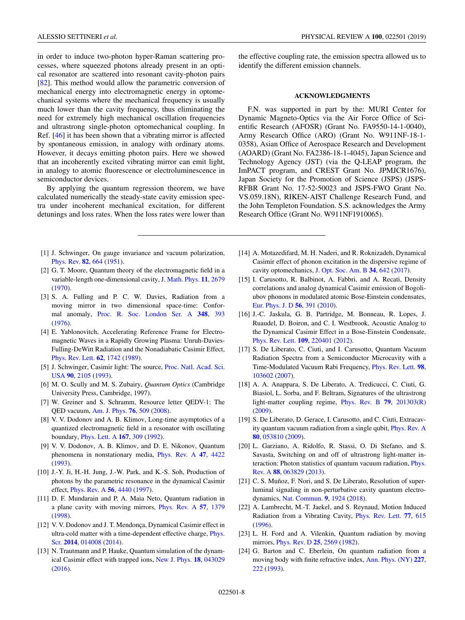<span id="page-7-0"></span>in order to induce two-photon hyper-Raman scattering processes, where squeezed photons already present in an optical resonator are scattered into resonant cavity-photon pairs [\[82\]](#page-9-0). This method would allow the parametric conversion of mechanical energy into electromagnetic energy in optomechanical systems where the mechanical frequency is usually much lower than the cavity frequency, thus eliminating the need for extremely high mechanical oscillation frequencies and ultrastrong single-photon optomechanical coupling. In Ref. [\[46\]](#page-8-0) it has been shown that a vibrating mirror is affected by spontaneous emission, in analogy with ordinary atoms. However, it decays emitting photon pairs. Here we showed that an incoherently excited vibrating mirror can emit light, in analogy to atomic fluorescence or electroluminescence in semiconductor devices.

By applying the quantum regression theorem, we have calculated numerically the steady-state cavity emission spectra under incoherent mechanical excitation, for different detunings and loss rates. When the loss rates were lower than

- [1] J. Schwinger, On gauge invariance and vacuum polarization, [Phys. Rev.](https://doi.org/10.1103/PhysRev.82.664) **[82](https://doi.org/10.1103/PhysRev.82.664)**, [664](https://doi.org/10.1103/PhysRev.82.664) [\(1951\)](https://doi.org/10.1103/PhysRev.82.664).
- [2] G. T. Moore, Quantum theory of the electromagnetic field in a variable-length one-dimensional cavity, [J. Math. Phys.](https://doi.org/10.1063/1.1665432) **[11](https://doi.org/10.1063/1.1665432)**, [2679](https://doi.org/10.1063/1.1665432) [\(1970\)](https://doi.org/10.1063/1.1665432).
- [3] S. A. Fulling and P. C. W. Davies, Radiation from a moving mirror in two dimensional space-time: Conformal anomaly, [Proc. R. Soc. London Ser. A](https://doi.org/10.1098/rspa.1976.0045) **[348](https://doi.org/10.1098/rspa.1976.0045)**, [393](https://doi.org/10.1098/rspa.1976.0045) [\(1976\)](https://doi.org/10.1098/rspa.1976.0045).
- [4] E. Yablonovitch, Accelerating Reference Frame for Electromagnetic Waves in a Rapidly Growing Plasma: Unruh-Davies-Fulling-DeWitt Radiation and the Nonadiabatic Casimir Effect, [Phys. Rev. Lett.](https://doi.org/10.1103/PhysRevLett.62.1742) **[62](https://doi.org/10.1103/PhysRevLett.62.1742)**, [1742](https://doi.org/10.1103/PhysRevLett.62.1742) [\(1989\)](https://doi.org/10.1103/PhysRevLett.62.1742).
- [5] [J. Schwinger, Casimir light: The source,](https://doi.org/10.1073/pnas.90.6.2105) Proc. Natl. Acad. Sci. USA **[90](https://doi.org/10.1073/pnas.90.6.2105)**, [2105](https://doi.org/10.1073/pnas.90.6.2105) [\(1993\)](https://doi.org/10.1073/pnas.90.6.2105).
- [6] M. O. Scully and M. S. Zubairy, *Quantum Optics* (Cambridge University Press, Cambridge, 1997).
- [7] W. Greiner and S. Schramm, Resource letter QEDV-1: The QED vacuum, [Am. J. Phys.](https://doi.org/10.1119/1.2820395) **[76](https://doi.org/10.1119/1.2820395)**, [509](https://doi.org/10.1119/1.2820395) [\(2008\)](https://doi.org/10.1119/1.2820395).
- [8] V. V. Dodonov and A. B. Klimov, Long-time asymptotics of a quantized electromagnetic field in a resonator with oscillating boundary, [Phys. Lett. A](https://doi.org/10.1016/0375-9601(92)90212-5) **[167](https://doi.org/10.1016/0375-9601(92)90212-5)**, [309](https://doi.org/10.1016/0375-9601(92)90212-5) [\(1992\)](https://doi.org/10.1016/0375-9601(92)90212-5).
- [9] V. V. Dodonov, A. B. Klimov, and D. E. Nikonov, Quantum phenomena in nonstationary media, [Phys. Rev. A](https://doi.org/10.1103/PhysRevA.47.4422) **[47](https://doi.org/10.1103/PhysRevA.47.4422)**, [4422](https://doi.org/10.1103/PhysRevA.47.4422) [\(1993\)](https://doi.org/10.1103/PhysRevA.47.4422).
- [10] J.-Y. Ji, H.-H. Jung, J.-W. Park, and K.-S. Soh, Production of photons by the parametric resonance in the dynamical Casimir effect, [Phys. Rev. A](https://doi.org/10.1103/PhysRevA.56.4440) **[56](https://doi.org/10.1103/PhysRevA.56.4440)**, [4440](https://doi.org/10.1103/PhysRevA.56.4440) [\(1997\)](https://doi.org/10.1103/PhysRevA.56.4440).
- [11] D. F. Mundarain and P. A. Maia Neto, Quantum radiation in a plane cavity with moving mirrors, [Phys. Rev. A](https://doi.org/10.1103/PhysRevA.57.1379) **[57](https://doi.org/10.1103/PhysRevA.57.1379)**, [1379](https://doi.org/10.1103/PhysRevA.57.1379) [\(1998\)](https://doi.org/10.1103/PhysRevA.57.1379).
- [12] V. V. Dodonov and J. T. Mendonça, Dynamical Casimir effect in [ultra-cold matter with a time-dependent effective charge,](https://doi.org/10.1088/0031-8949/2014/T160/014008) Phys. Scr. **[2014](https://doi.org/10.1088/0031-8949/2014/T160/014008)**, [014008](https://doi.org/10.1088/0031-8949/2014/T160/014008) [\(2014\)](https://doi.org/10.1088/0031-8949/2014/T160/014008).
- [13] N. Trautmann and P. Hauke, Quantum simulation of the dynamical Casimir effect with trapped ions, [New J. Phys.](https://doi.org/10.1088/1367-2630/18/4/043029) **[18](https://doi.org/10.1088/1367-2630/18/4/043029)**, [043029](https://doi.org/10.1088/1367-2630/18/4/043029) [\(2016\)](https://doi.org/10.1088/1367-2630/18/4/043029).

the effective coupling rate, the emission spectra allowed us to identify the different emission channels.

## **ACKNOWLEDGMENTS**

F.N. was supported in part by the: MURI Center for Dynamic Magneto-Optics via the Air Force Office of Scientific Research (AFOSR) (Grant No. FA9550-14-1-0040), Army Research Office (ARO) (Grant No. W911NF-18-1- 0358), Asian Office of Aerospace Research and Development (AOARD) (Grant No. FA2386-18-1-4045), Japan Science and Technology Agency (JST) (via the Q-LEAP program, the ImPACT program, and CREST Grant No. JPMJCR1676), Japan Society for the Promotion of Science (JSPS) (JSPS-RFBR Grant No. 17-52-50023 and JSPS-FWO Grant No. VS.059.18N), RIKEN-AIST Challenge Research Fund, and the John Templeton Foundation. S.S. acknowledges the Army Research Office (Grant No. W911NF1910065).

- [14] A. Motazedifard, M. H. Naderi, and R. Roknizadeh, Dynamical Casimir effect of phonon excitation in the dispersive regime of cavity optomechanics, [J. Opt. Soc. Am. B](https://doi.org/10.1364/JOSAB.34.000642) **[34](https://doi.org/10.1364/JOSAB.34.000642)**, [642](https://doi.org/10.1364/JOSAB.34.000642) [\(2017\)](https://doi.org/10.1364/JOSAB.34.000642).
- [15] I. Carusotto, R. Balbinot, A. Fabbri, and A. Recati, Density correlations and analog dynamical Casimir emission of Bogoliubov phonons in modulated atomic Bose-Einstein condensates, [Eur. Phys. J. D](https://doi.org/10.1140/epjd/e2009-00314-3) **[56](https://doi.org/10.1140/epjd/e2009-00314-3)**, [391](https://doi.org/10.1140/epjd/e2009-00314-3) [\(2010\)](https://doi.org/10.1140/epjd/e2009-00314-3).
- [16] J.-C. Jaskula, G. B. Partridge, M. Bonneau, R. Lopes, J. Ruaudel, D. Boiron, and C. I. Westbrook, Acoustic Analog to the Dynamical Casimir Effect in a Bose-Einstein Condensate, [Phys. Rev. Lett.](https://doi.org/10.1103/PhysRevLett.109.220401) **[109](https://doi.org/10.1103/PhysRevLett.109.220401)**, [220401](https://doi.org/10.1103/PhysRevLett.109.220401) [\(2012\)](https://doi.org/10.1103/PhysRevLett.109.220401).
- [17] S. De Liberato, C. Ciuti, and I. Carusotto, Quantum Vacuum Radiation Spectra from a Semiconductor Microcavity with a Time-Modulated Vacuum Rabi Frequency, [Phys. Rev. Lett.](https://doi.org/10.1103/PhysRevLett.98.103602) **[98](https://doi.org/10.1103/PhysRevLett.98.103602)**, [103602](https://doi.org/10.1103/PhysRevLett.98.103602) [\(2007\)](https://doi.org/10.1103/PhysRevLett.98.103602).
- [18] A. A. Anappara, S. De Liberato, A. Tredicucci, C. Ciuti, G. Biasiol, L. Sorba, and F. Beltram, Signatures of the ultrastrong light-matter coupling regime, [Phys. Rev. B](https://doi.org/10.1103/PhysRevB.79.201303) **[79](https://doi.org/10.1103/PhysRevB.79.201303)**, [201303\(R\)](https://doi.org/10.1103/PhysRevB.79.201303) [\(2009\)](https://doi.org/10.1103/PhysRevB.79.201303).
- [19] S. De Liberato, D. Gerace, I. Carusotto, and C. Ciuti, Extracavity quantum vacuum radiation from a single qubit, [Phys. Rev. A](https://doi.org/10.1103/PhysRevA.80.053810) **[80](https://doi.org/10.1103/PhysRevA.80.053810)**, [053810](https://doi.org/10.1103/PhysRevA.80.053810) [\(2009\)](https://doi.org/10.1103/PhysRevA.80.053810).
- [20] L. Garziano, A. Ridolfo, R. Stassi, O. Di Stefano, and S. Savasta, Switching on and off of ultrastrong light-matter in[teraction: Photon statistics of quantum vacuum radiation,](https://doi.org/10.1103/PhysRevA.88.063829) Phys. Rev. A **[88](https://doi.org/10.1103/PhysRevA.88.063829)**, [063829](https://doi.org/10.1103/PhysRevA.88.063829) [\(2013\)](https://doi.org/10.1103/PhysRevA.88.063829).
- [21] C. S. Muñoz, F. Nori, and S. De Liberato, Resolution of superluminal signaling in non-perturbative cavity quantum electrodynamics, [Nat. Commun.](https://doi.org/10.1038/s41467-018-04339-w) **[9](https://doi.org/10.1038/s41467-018-04339-w)**, [1924](https://doi.org/10.1038/s41467-018-04339-w) [\(2018\)](https://doi.org/10.1038/s41467-018-04339-w).
- [22] A. Lambrecht, M.-T. Jaekel, and S. Reynaud, Motion Induced Radiation from a Vibrating Cavity, [Phys. Rev. Lett.](https://doi.org/10.1103/PhysRevLett.77.615) **[77](https://doi.org/10.1103/PhysRevLett.77.615)**, [615](https://doi.org/10.1103/PhysRevLett.77.615) [\(1996\)](https://doi.org/10.1103/PhysRevLett.77.615).
- [23] L. H. Ford and A. Vilenkin, Quantum radiation by moving mirrors, [Phys. Rev. D](https://doi.org/10.1103/PhysRevD.25.2569) **[25](https://doi.org/10.1103/PhysRevD.25.2569)**, [2569](https://doi.org/10.1103/PhysRevD.25.2569) [\(1982\)](https://doi.org/10.1103/PhysRevD.25.2569).
- [24] G. Barton and C. Eberlein, On quantum radiation from a moving body with finite refractive index, [Ann. Phys. \(NY\)](https://doi.org/10.1006/aphy.1993.1081) **[227](https://doi.org/10.1006/aphy.1993.1081)**, [222](https://doi.org/10.1006/aphy.1993.1081) [\(1993\)](https://doi.org/10.1006/aphy.1993.1081).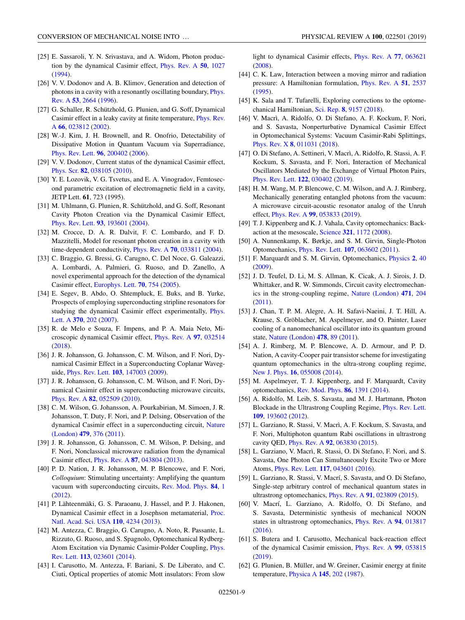- <span id="page-8-0"></span>[25] E. Sassaroli, Y. N. Srivastava, and A. Widom, Photon production by the dynamical Casimir effect, [Phys. Rev. A](https://doi.org/10.1103/PhysRevA.50.1027) **[50](https://doi.org/10.1103/PhysRevA.50.1027)**, [1027](https://doi.org/10.1103/PhysRevA.50.1027) [\(1994\)](https://doi.org/10.1103/PhysRevA.50.1027).
- [26] V. V. Dodonov and A. B. Klimov, Generation and detection of [photons in a cavity with a resonantly oscillating boundary,](https://doi.org/10.1103/PhysRevA.53.2664) Phys. Rev. A **[53](https://doi.org/10.1103/PhysRevA.53.2664)**, [2664](https://doi.org/10.1103/PhysRevA.53.2664) [\(1996\)](https://doi.org/10.1103/PhysRevA.53.2664).
- [27] G. Schaller, R. Schützhold, G. Plunien, and G. Soff, Dynamical [Casimir effect in a leaky cavity at finite temperature,](https://doi.org/10.1103/PhysRevA.66.023812) Phys. Rev. A **[66](https://doi.org/10.1103/PhysRevA.66.023812)**, [023812](https://doi.org/10.1103/PhysRevA.66.023812) [\(2002\)](https://doi.org/10.1103/PhysRevA.66.023812).
- [28] W.-J. Kim, J. H. Brownell, and R. Onofrio, Detectability of Dissipative Motion in Quantum Vacuum via Superradiance, [Phys. Rev. Lett.](https://doi.org/10.1103/PhysRevLett.96.200402) **[96](https://doi.org/10.1103/PhysRevLett.96.200402)**, [200402](https://doi.org/10.1103/PhysRevLett.96.200402) [\(2006\)](https://doi.org/10.1103/PhysRevLett.96.200402).
- [29] V. V. Dodonov, Current status of the dynamical Casimir effect, [Phys. Scr.](https://doi.org/10.1088/0031-8949/82/03/038105) **[82](https://doi.org/10.1088/0031-8949/82/03/038105)**, [038105](https://doi.org/10.1088/0031-8949/82/03/038105) [\(2010\)](https://doi.org/10.1088/0031-8949/82/03/038105).
- [30] Y. E. Lozovik, V. G. Tsvetus, and E. A. Vinogradov, Femtosecond parametric excitation of electromagnetic field in a cavity, JETP Lett. **61**, 723 (1995).
- [31] M. Uhlmann, G. Plunien, R. Schützhold, and G. Soff, Resonant Cavity Photon Creation via the Dynamical Casimir Effect, [Phys. Rev. Lett.](https://doi.org/10.1103/PhysRevLett.93.193601) **[93](https://doi.org/10.1103/PhysRevLett.93.193601)**, [193601](https://doi.org/10.1103/PhysRevLett.93.193601) [\(2004\)](https://doi.org/10.1103/PhysRevLett.93.193601).
- [32] M. Crocce, D. A. R. Dalvit, F. C. Lombardo, and F. D. Mazzitelli, Model for resonant photon creation in a cavity with time-dependent conductivity, [Phys. Rev. A](https://doi.org/10.1103/PhysRevA.70.033811) **[70](https://doi.org/10.1103/PhysRevA.70.033811)**, [033811](https://doi.org/10.1103/PhysRevA.70.033811) [\(2004\)](https://doi.org/10.1103/PhysRevA.70.033811).
- [33] C. Braggio, G. Bressi, G. Carugno, C. Del Noce, G. Galeazzi, A. Lombardi, A. Palmieri, G. Ruoso, and D. Zanello, A novel experimental approach for the detection of the dynamical Casimir effect, [Europhys. Lett.](https://doi.org/10.1209/epl/i2005-10048-8) **[70](https://doi.org/10.1209/epl/i2005-10048-8)**, [754](https://doi.org/10.1209/epl/i2005-10048-8) [\(2005\)](https://doi.org/10.1209/epl/i2005-10048-8).
- [34] E. Segev, B. Abdo, O. Shtempluck, E. Buks, and B. Yurke, Prospects of employing superconducting stripline resonators for [studying the dynamical Casimir effect experimentally,](https://doi.org/10.1016/j.physleta.2007.05.066) Phys. Lett. A **[370](https://doi.org/10.1016/j.physleta.2007.05.066)**, [202](https://doi.org/10.1016/j.physleta.2007.05.066) [\(2007\)](https://doi.org/10.1016/j.physleta.2007.05.066).
- [35] R. de Melo e Souza, F. Impens, and P. A. Maia Neto, Microscopic dynamical Casimir effect, [Phys. Rev. A](https://doi.org/10.1103/PhysRevA.97.032514) **[97](https://doi.org/10.1103/PhysRevA.97.032514)**, [032514](https://doi.org/10.1103/PhysRevA.97.032514) [\(2018\)](https://doi.org/10.1103/PhysRevA.97.032514).
- [36] J. R. Johansson, G. Johansson, C. M. Wilson, and F. Nori, Dynamical Casimir Effect in a Superconducting Coplanar Waveguide, [Phys. Rev. Lett.](https://doi.org/10.1103/PhysRevLett.103.147003) **[103](https://doi.org/10.1103/PhysRevLett.103.147003)**, [147003](https://doi.org/10.1103/PhysRevLett.103.147003) [\(2009\)](https://doi.org/10.1103/PhysRevLett.103.147003).
- [37] J. R. Johansson, G. Johansson, C. M. Wilson, and F. Nori, Dynamical Casimir effect in superconducting microwave circuits, [Phys. Rev. A](https://doi.org/10.1103/PhysRevA.82.052509) **[82](https://doi.org/10.1103/PhysRevA.82.052509)**, [052509](https://doi.org/10.1103/PhysRevA.82.052509) [\(2010\)](https://doi.org/10.1103/PhysRevA.82.052509).
- [38] C. M. Wilson, G. Johansson, A. Pourkabirian, M. Simoen, J. R. Johansson, T. Duty, F. Nori, and P. Delsing, Observation of the [dynamical Casimir effect in a superconducting circuit,](https://doi.org/10.1038/nature10561) Nature (London) **[479](https://doi.org/10.1038/nature10561)**, [376](https://doi.org/10.1038/nature10561) [\(2011\)](https://doi.org/10.1038/nature10561).
- [39] J. R. Johansson, G. Johansson, C. M. Wilson, P. Delsing, and F. Nori, Nonclassical microwave radiation from the dynamical Casimir effect, [Phys. Rev. A](https://doi.org/10.1103/PhysRevA.87.043804) **[87](https://doi.org/10.1103/PhysRevA.87.043804)**, [043804](https://doi.org/10.1103/PhysRevA.87.043804) [\(2013\)](https://doi.org/10.1103/PhysRevA.87.043804).
- [40] P. D. Nation, J. R. Johansson, M. P. Blencowe, and F. Nori, *Colloquium*: Stimulating uncertainty: Amplifying the quantum vacuum with superconducting circuits, [Rev. Mod. Phys.](https://doi.org/10.1103/RevModPhys.84.1) **[84](https://doi.org/10.1103/RevModPhys.84.1)**, [1](https://doi.org/10.1103/RevModPhys.84.1) [\(2012\)](https://doi.org/10.1103/RevModPhys.84.1).
- [41] P. Lähteenmäki, G. S. Paraoanu, J. Hassel, and P. J. Hakonen, [Dynamical Casimir effect in a Josephson metamaterial,](https://doi.org/10.1073/pnas.1212705110) Proc. Natl. Acad. Sci. USA **[110](https://doi.org/10.1073/pnas.1212705110)**, [4234](https://doi.org/10.1073/pnas.1212705110) [\(2013\)](https://doi.org/10.1073/pnas.1212705110).
- [42] M. Antezza, C. Braggio, G. Carugno, A. Noto, R. Passante, L. Rizzuto, G. Ruoso, and S. Spagnolo, Optomechanical Rydberg-[Atom Excitation via Dynamic Casimir-Polder Coupling,](https://doi.org/10.1103/PhysRevLett.113.023601) Phys. Rev. Lett. **[113](https://doi.org/10.1103/PhysRevLett.113.023601)**, [023601](https://doi.org/10.1103/PhysRevLett.113.023601) [\(2014\)](https://doi.org/10.1103/PhysRevLett.113.023601).
- [43] I. Carusotto, M. Antezza, F. Bariani, S. De Liberato, and C. Ciuti, Optical properties of atomic Mott insulators: From slow

light to dynamical Casimir effects, [Phys. Rev. A](https://doi.org/10.1103/PhysRevA.77.063621) **[77](https://doi.org/10.1103/PhysRevA.77.063621)**, [063621](https://doi.org/10.1103/PhysRevA.77.063621) [\(2008\)](https://doi.org/10.1103/PhysRevA.77.063621).

- [44] C. K. Law, Interaction between a moving mirror and radiation pressure: A Hamiltonian formulation, [Phys. Rev. A](https://doi.org/10.1103/PhysRevA.51.2537) **[51](https://doi.org/10.1103/PhysRevA.51.2537)**, [2537](https://doi.org/10.1103/PhysRevA.51.2537) [\(1995\)](https://doi.org/10.1103/PhysRevA.51.2537).
- [45] K. Sala and T. Tufarelli, Exploring corrections to the optomechanical Hamiltonian, [Sci. Rep.](https://doi.org/10.1038/s41598-018-26739-0) **[8](https://doi.org/10.1038/s41598-018-26739-0)**, [9157](https://doi.org/10.1038/s41598-018-26739-0) [\(2018\)](https://doi.org/10.1038/s41598-018-26739-0).
- [46] V. Macrì, A. Ridolfo, O. Di Stefano, A. F. Kockum, F. Nori, and S. Savasta, Nonperturbative Dynamical Casimir Effect in Optomechanical Systems: Vacuum Casimir-Rabi Splittings, [Phys. Rev. X](https://doi.org/10.1103/PhysRevX.8.011031) **[8](https://doi.org/10.1103/PhysRevX.8.011031)**, [011031](https://doi.org/10.1103/PhysRevX.8.011031) [\(2018\)](https://doi.org/10.1103/PhysRevX.8.011031).
- [47] O. Di Stefano, A. Settineri, V. Macrì, A. Ridolfo, R. Stassi, A. F. Kockum, S. Savasta, and F. Nori, Interaction of Mechanical Oscillators Mediated by the Exchange of Virtual Photon Pairs, [Phys. Rev. Lett.](https://doi.org/10.1103/PhysRevLett.122.030402) **[122](https://doi.org/10.1103/PhysRevLett.122.030402)**, [030402](https://doi.org/10.1103/PhysRevLett.122.030402) [\(2019\)](https://doi.org/10.1103/PhysRevLett.122.030402).
- [48] H. M. Wang, M. P. Blencowe, C. M. Wilson, and A. J. Rimberg, Mechanically generating entangled photons from the vacuum: A microwave circuit-acoustic resonator analog of the Unruh effect, [Phys. Rev. A](https://doi.org/10.1103/PhysRevA.99.053833) **[99](https://doi.org/10.1103/PhysRevA.99.053833)**, [053833](https://doi.org/10.1103/PhysRevA.99.053833) [\(2019\)](https://doi.org/10.1103/PhysRevA.99.053833).
- [49] T. J. Kippenberg and K. J. Vahala, Cavity optomechanics: Backaction at the mesoscale, [Science](https://doi.org/10.1126/science.1156032) **[321](https://doi.org/10.1126/science.1156032)**, [1172](https://doi.org/10.1126/science.1156032) [\(2008\)](https://doi.org/10.1126/science.1156032).
- [50] A. Nunnenkamp, K. Børkje, and S. M. Girvin, Single-Photon Optomechanics, [Phys. Rev. Lett.](https://doi.org/10.1103/PhysRevLett.107.063602) **[107](https://doi.org/10.1103/PhysRevLett.107.063602)**, [063602](https://doi.org/10.1103/PhysRevLett.107.063602) [\(2011\)](https://doi.org/10.1103/PhysRevLett.107.063602).
- [51] F. Marquardt and S. M. Girvin, Optomechanics, [Physics](https://doi.org/10.1103/Physics.2.40) **[2](https://doi.org/10.1103/Physics.2.40)**, [40](https://doi.org/10.1103/Physics.2.40) [\(2009\)](https://doi.org/10.1103/Physics.2.40).
- [52] J. D. Teufel, D. Li, M. S. Allman, K. Cicak, A. J. Sirois, J. D. Whittaker, and R. W. Simmonds, Circuit cavity electromechanics in the strong-coupling regime, [Nature \(London\)](https://doi.org/10.1038/nature09898) **[471](https://doi.org/10.1038/nature09898)**, [204](https://doi.org/10.1038/nature09898) [\(2011\)](https://doi.org/10.1038/nature09898).
- [53] J. Chan, T. P. M. Alegre, A. H. Safavi-Naeini, J. T. Hill, A. Krause, S. Gröblacher, M. Aspelmeyer, and O. Painter, Laser cooling of a nanomechanical oscillator into its quantum ground state, [Nature \(London\)](https://doi.org/10.1038/nature10461) **[478](https://doi.org/10.1038/nature10461)**, [89](https://doi.org/10.1038/nature10461) [\(2011\)](https://doi.org/10.1038/nature10461).
- [54] A. J. Rimberg, M. P. Blencowe, A. D. Armour, and P. D. Nation, A cavity-Cooper pair transistor scheme for investigating quantum optomechanics in the ultra-strong coupling regime, [New J. Phys.](https://doi.org/10.1088/1367-2630/16/5/055008) **[16](https://doi.org/10.1088/1367-2630/16/5/055008)**, [055008](https://doi.org/10.1088/1367-2630/16/5/055008) [\(2014\)](https://doi.org/10.1088/1367-2630/16/5/055008).
- [55] M. Aspelmeyer, T. J. Kippenberg, and F. Marquardt, Cavity optomechanics, [Rev. Mod. Phys.](https://doi.org/10.1103/RevModPhys.86.1391) **[86](https://doi.org/10.1103/RevModPhys.86.1391)**, [1391](https://doi.org/10.1103/RevModPhys.86.1391) [\(2014\)](https://doi.org/10.1103/RevModPhys.86.1391).
- [56] A. Ridolfo, M. Leib, S. Savasta, and M. J. Hartmann, Photon Blockade in the Ultrastrong Coupling Regime, [Phys. Rev. Lett.](https://doi.org/10.1103/PhysRevLett.109.193602) **[109](https://doi.org/10.1103/PhysRevLett.109.193602)**, [193602](https://doi.org/10.1103/PhysRevLett.109.193602) [\(2012\)](https://doi.org/10.1103/PhysRevLett.109.193602).
- [57] L. Garziano, R. Stassi, V. Macrì, A. F. Kockum, S. Savasta, and F. Nori, Multiphoton quantum Rabi oscillations in ultrastrong cavity QED, [Phys. Rev. A](https://doi.org/10.1103/PhysRevA.92.063830) **[92](https://doi.org/10.1103/PhysRevA.92.063830)**, [063830](https://doi.org/10.1103/PhysRevA.92.063830) [\(2015\)](https://doi.org/10.1103/PhysRevA.92.063830).
- [58] L. Garziano, V. Macrì, R. Stassi, O. Di Stefano, F. Nori, and S. Savasta, One Photon Can Simultaneously Excite Two or More Atoms, [Phys. Rev. Lett.](https://doi.org/10.1103/PhysRevLett.117.043601) **[117](https://doi.org/10.1103/PhysRevLett.117.043601)**, [043601](https://doi.org/10.1103/PhysRevLett.117.043601) [\(2016\)](https://doi.org/10.1103/PhysRevLett.117.043601).
- [59] L. Garziano, R. Stassi, V. Macrí, S. Savasta, and O. Di Stefano, Single-step arbitrary control of mechanical quantum states in ultrastrong optomechanics, [Phys. Rev. A](https://doi.org/10.1103/PhysRevA.91.023809) **[91](https://doi.org/10.1103/PhysRevA.91.023809)**, [023809](https://doi.org/10.1103/PhysRevA.91.023809) [\(2015\)](https://doi.org/10.1103/PhysRevA.91.023809).
- [60] V. Macrí, L. Garziano, A. Ridolfo, O. Di Stefano, and S. Savasta, Deterministic synthesis of mechanical NOON states in ultrastrong optomechanics, [Phys. Rev. A](https://doi.org/10.1103/PhysRevA.94.013817) **[94](https://doi.org/10.1103/PhysRevA.94.013817)**, [013817](https://doi.org/10.1103/PhysRevA.94.013817) [\(2016\)](https://doi.org/10.1103/PhysRevA.94.013817).
- [61] S. Butera and I. Carusotto, Mechanical back-reaction effect of the dynamical Casimir emission, [Phys. Rev. A](https://doi.org/10.1103/PhysRevA.99.053815) **[99](https://doi.org/10.1103/PhysRevA.99.053815)**, [053815](https://doi.org/10.1103/PhysRevA.99.053815) [\(2019\)](https://doi.org/10.1103/PhysRevA.99.053815).
- [62] G. Plunien, B. Müller, and W. Greiner, Casimir energy at finite temperature, [Physica A](https://doi.org/10.1016/0378-4371(87)90247-0) **[145](https://doi.org/10.1016/0378-4371(87)90247-0)**, [202](https://doi.org/10.1016/0378-4371(87)90247-0) [\(1987\)](https://doi.org/10.1016/0378-4371(87)90247-0).